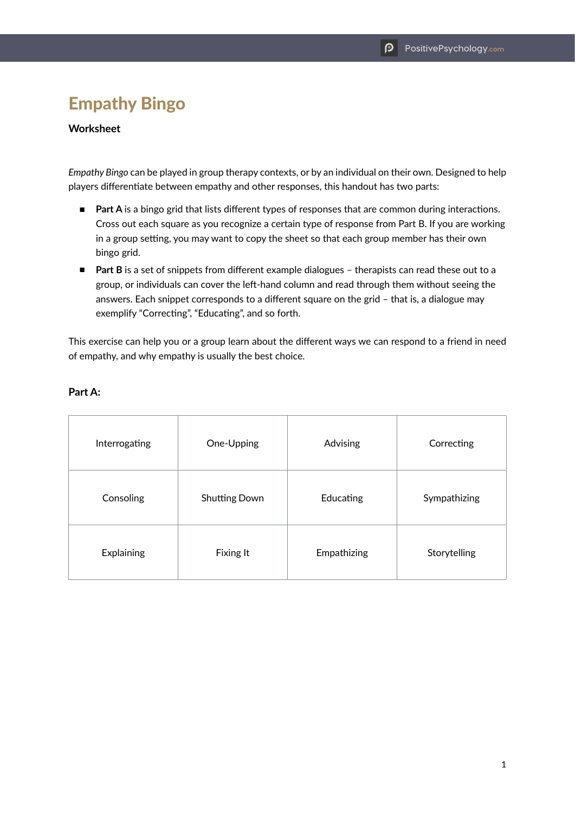## Empathy Bingo

## **Worksheet**

*Empathy Bingo* can be played in group therapy contexts, or by an individual on their own. Designed to help players differentiate between empathy and other responses, this handout has two parts:

- **Part A** is a bingo grid that lists different types of responses that are common during interactions. Cross out each square as you recognize a certain type of response from Part B. If you are working in a group setting, you may want to copy the sheet so that each group member has their own bingo grid.
- **Part B** is a set of snippets from different example dialogues therapists can read these out to a group, or individuals can cover the left-hand column and read through them without seeing the answers. Each snippet corresponds to a different square on the grid – that is, a dialogue may exemplify "Correcting", "Educating", and so forth.

This exercise can help you or a group learn about the different ways we can respond to a friend in need of empathy, and why empathy is usually the best choice.

| Interrogating | One-Upping           | Advising    | Correcting   |
|---------------|----------------------|-------------|--------------|
| Consoling     | <b>Shutting Down</b> | Educating   | Sympathizing |
| Explaining    | Fixing It            | Empathizing | Storytelling |

## **Part A:**